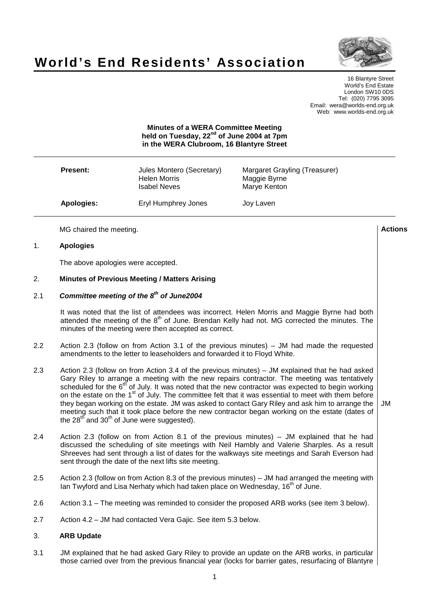

# **World's End Residents' Association**

16 Blantyre Street World's End Estate London SW10 0DS Tel: (020) 7795 3095 Email: wera@worlds-end.org.uk Web: www.worlds-end.org.uk

# **Minutes of a WERA Committee Meeting held on Tuesday, 22 nd of June 2004 at 7pm in the WERA Clubroom, 16 Blantyre Street**

| <b>Present:</b> | Jules Montero (Secretary)<br><b>Helen Morris</b><br><b>Isabel Neves</b> | Margaret Grayling (Treasurer)<br>Maggie Byrne<br>Marye Kenton |
|-----------------|-------------------------------------------------------------------------|---------------------------------------------------------------|
| Apologies:      | Eryl Humphrey Jones                                                     | Joy Laven                                                     |

MG chaired the meeting. **Actions**

# 1. **Apologies**

The above apologies were accepted.

## 2. **Minutes of Previous Meeting / Matters Arising**

# 2.1 **Committee meeting of the 8 th of June2004**

It was noted that the list of attendees was incorrect. Helen Morris and Maggie Byrne had both attended the meeting of the 8<sup>th</sup> of June. Brendan Kelly had not. MG corrected the minutes. The minutes of the meeting were then accepted as correct.

- 2.2 Action 2.3 (follow on from Action 3.1 of the previous minutes) JM had made the requested amendments to the letter to leaseholders and forwarded it to Floyd White.
- 2.3 Action 2.3 (follow on from Action 3.4 of the previous minutes) JM explained that he had asked Gary Riley to arrange a meeting with the new repairs contractor. The meeting was tentatively scheduled for the 6<sup>th</sup> of July. It was noted that the new contractor was expected to begin working on the estate on the 1<sup>st</sup> of July. The committee felt that it was essential to meet with them before they began working on the estate. JM was asked to contact Gary Riley and ask him to arrange the meeting such that it took place before the new contractor began working on the estate (dates of the 28<sup>th</sup> and 30<sup>th</sup> of June were suggested).
- 2.4 Action 2.3 (follow on from Action 8.1 of the previous minutes) JM explained that he had discussed the scheduling of site meetings with Neil Hambly and Valerie Sharples. As a result Shreeves had sent through a list of dates for the walkways site meetings and Sarah Everson had sent through the date of the next lifts site meeting.
- 2.5 Action 2.3 (follow on from Action 8.3 of the previous minutes) JM had arranged the meeting with lan Twyford and Lisa Nerhaty which had taken place on Wednesday, 16<sup>th</sup> of June.
- 2.6 Action 3.1 The meeting was reminded to consider the proposed ARB works (see item 3 below).
- 2.7 Action 4.2 JM had contacted Vera Gajic. See item 5.3 below.

#### 3. **ARB Update**

3.1 JM explained that he had asked Gary Riley to provide an update on the ARB works, in particular those carried over from the previous financial year (locks for barrier gates, resurfacing of Blantyre

JM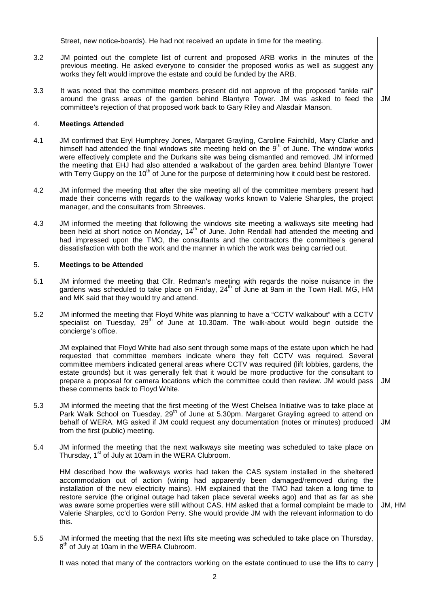Street, new notice-boards). He had not received an update in time for the meeting.

- 3.2 JM pointed out the complete list of current and proposed ARB works in the minutes of the previous meeting. He asked everyone to consider the proposed works as well as suggest any works they felt would improve the estate and could be funded by the ARB.
- 3.3 It was noted that the committee members present did not approve of the proposed "ankle rail" around the grass areas of the garden behind Blantyre Tower. JM was asked to feed the committee's rejection of that proposed work back to Gary Riley and Alasdair Manson. JM

## 4. **Meetings Attended**

- 4.1 JM confirmed that Eryl Humphrey Jones, Margaret Grayling, Caroline Fairchild, Mary Clarke and himself had attended the final windows site meeting held on the 9<sup>th</sup> of June. The window works were effectively complete and the Durkans site was being dismantled and removed. JM informed the meeting that EHJ had also attended a walkabout of the garden area behind Blantyre Tower with Terry Guppy on the 10<sup>th</sup> of June for the purpose of determining how it could best be restored.
- 4.2 JM informed the meeting that after the site meeting all of the committee members present had made their concerns with regards to the walkway works known to Valerie Sharples, the project manager, and the consultants from Shreeves.
- 4.3 JM informed the meeting that following the windows site meeting a walkways site meeting had been held at short notice on Monday, 14<sup>th</sup> of June. John Rendall had attended the meeting and had impressed upon the TMO, the consultants and the contractors the committee's general dissatisfaction with both the work and the manner in which the work was being carried out.

## 5. **Meetings to be Attended**

- 5.1 JM informed the meeting that Cllr. Redman's meeting with regards the noise nuisance in the gardens was scheduled to take place on Friday, 24<sup>th</sup> of June at 9am in the Town Hall. MG, HM and MK said that they would try and attend.
- 5.2 JM informed the meeting that Floyd White was planning to have a "CCTV walkabout" with a CCTV specialist on Tuesday, 29<sup>th</sup> of June at 10.30am. The walk-about would begin outside the concierge's office.

JM explained that Floyd White had also sent through some maps of the estate upon which he had requested that committee members indicate where they felt CCTV was required. Several committee members indicated general areas where CCTV was required (lift lobbies, gardens, the estate grounds) but it was generally felt that it would be more productive for the consultant to prepare a proposal for camera locations which the committee could then review. JM would pass these comments back to Floyd White. JM

- 5.3 JM informed the meeting that the first meeting of the West Chelsea Initiative was to take place at Park Walk School on Tuesday, 29<sup>th</sup> of June at 5.30pm. Margaret Grayling agreed to attend on behalf of WERA. MG asked if JM could request any documentation (notes or minutes) produced from the first (public) meeting. JM
- 5.4 JM informed the meeting that the next walkways site meeting was scheduled to take place on Thursday, 1<sup>st</sup> of July at 10am in the WERA Clubroom.

HM described how the walkways works had taken the CAS system installed in the sheltered accommodation out of action (wiring had apparently been damaged/removed during the installation of the new electricity mains). HM explained that the TMO had taken a long time to restore service (the original outage had taken place several weeks ago) and that as far as she was aware some properties were still without CAS. HM asked that a formal complaint be made to Valerie Sharples, cc'd to Gordon Perry. She would provide JM with the relevant information to do this.

JM, HM

5.5 JM informed the meeting that the next lifts site meeting was scheduled to take place on Thursday, 8<sup>th</sup> of July at 10am in the WERA Clubroom.

It was noted that many of the contractors working on the estate continued to use the lifts to carry